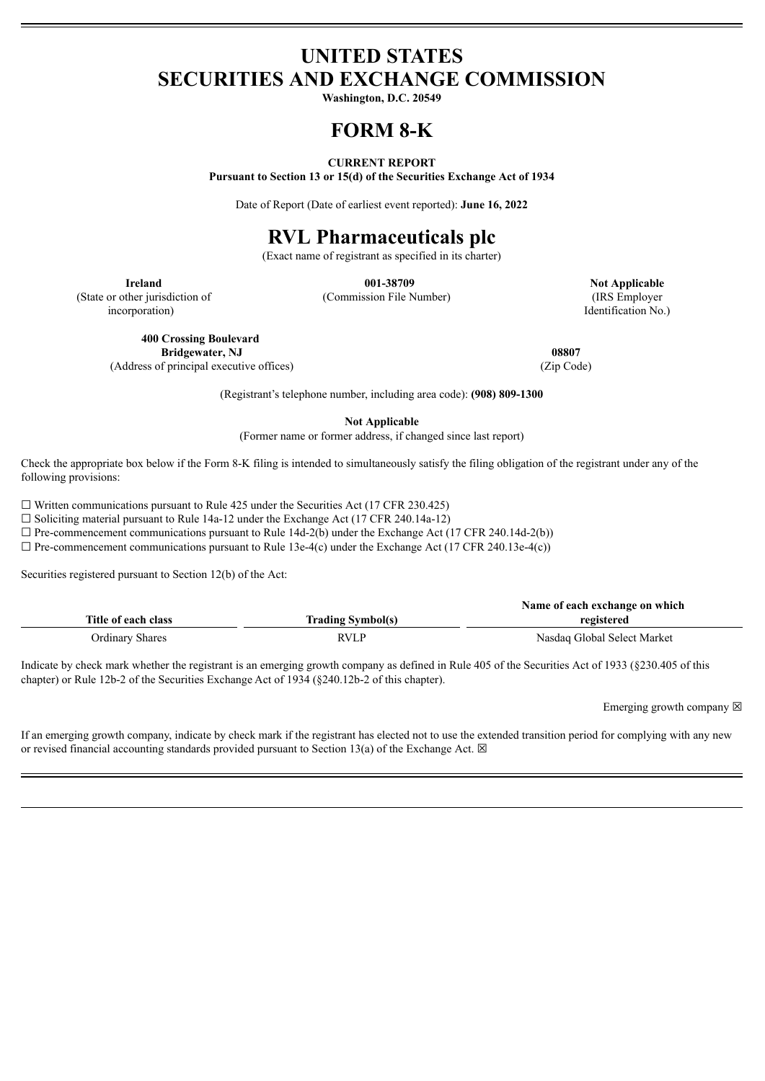## **UNITED STATES SECURITIES AND EXCHANGE COMMISSION**

**Washington, D.C. 20549**

# **FORM 8-K**

#### **CURRENT REPORT**

**Pursuant to Section 13 or 15(d) of the Securities Exchange Act of 1934**

Date of Report (Date of earliest event reported): **June 16, 2022**

# **RVL Pharmaceuticals plc**

(Exact name of registrant as specified in its charter)

(State or other jurisdiction of

incorporation)

(Commission File Number) (IRS Employer

**Ireland 001-38709 Not Applicable** Identification No.)

**400 Crossing Boulevard Bridgewater, NJ 08807**

(Address of principal executive offices) (Zip Code)

(Registrant's telephone number, including area code): **(908) 809-1300**

**Not Applicable**

(Former name or former address, if changed since last report)

Check the appropriate box below if the Form 8-K filing is intended to simultaneously satisfy the filing obligation of the registrant under any of the following provisions:

 $\Box$  Written communications pursuant to Rule 425 under the Securities Act (17 CFR 230.425)

☐ Soliciting material pursuant to Rule 14a-12 under the Exchange Act (17 CFR 240.14a-12)

 $\Box$  Pre-commencement communications pursuant to Rule 14d-2(b) under the Exchange Act (17 CFR 240.14d-2(b))

 $\Box$  Pre-commencement communications pursuant to Rule 13e-4(c) under the Exchange Act (17 CFR 240.13e-4(c))

Securities registered pursuant to Section 12(b) of the Act:

|                     |                          | Name of each exchange on which |
|---------------------|--------------------------|--------------------------------|
| Title of each class | <b>Trading Symbol(s)</b> | registered                     |
| Ordinary Shares     | <b>RVLP</b>              | Nasdaq Global Select Market    |

Indicate by check mark whether the registrant is an emerging growth company as defined in Rule 405 of the Securities Act of 1933 (§230.405 of this chapter) or Rule 12b-2 of the Securities Exchange Act of 1934 (§240.12b-2 of this chapter).

Emerging growth company  $\boxtimes$ 

If an emerging growth company, indicate by check mark if the registrant has elected not to use the extended transition period for complying with any new or revised financial accounting standards provided pursuant to Section 13(a) of the Exchange Act.  $\boxtimes$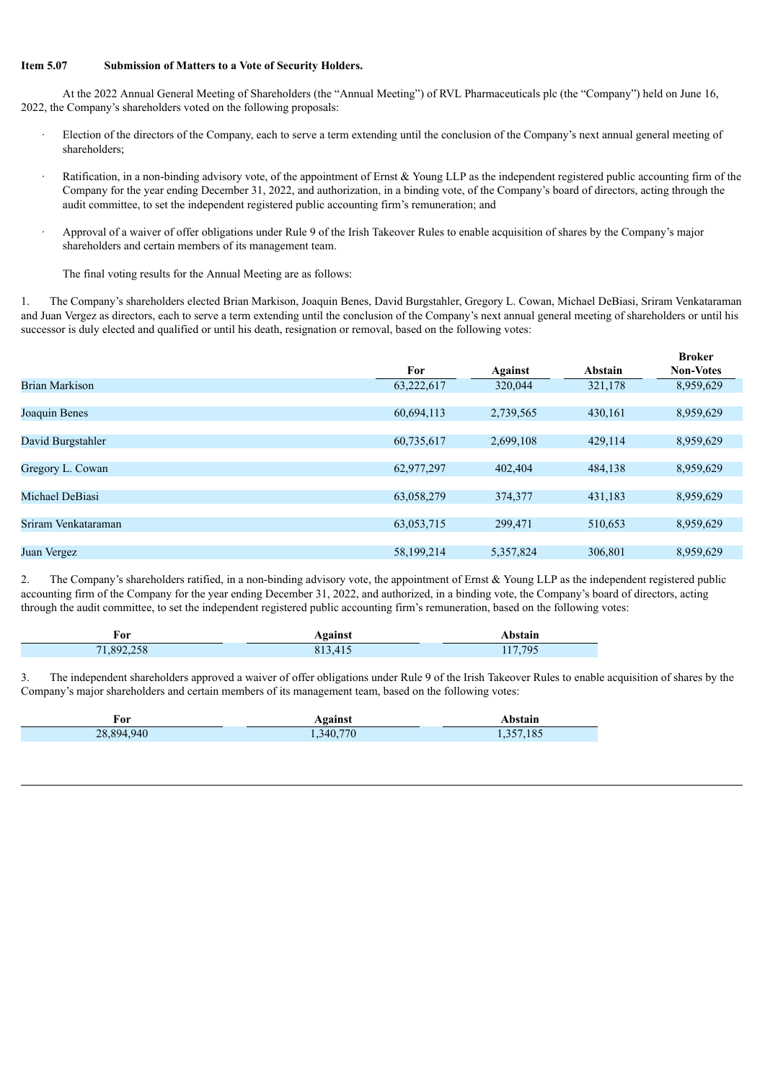#### **Item 5.07 Submission of Matters to a Vote of Security Holders.**

At the 2022 Annual General Meeting of Shareholders (the "Annual Meeting") of RVL Pharmaceuticals plc (the "Company") held on June 16, 2022, the Company's shareholders voted on the following proposals:

- Election of the directors of the Company, each to serve a term extending until the conclusion of the Company's next annual general meeting of shareholders;
- Ratification, in a non-binding advisory vote, of the appointment of Ernst  $& Young LLP$  as the independent registered public accounting firm of the Company for the year ending December 31, 2022, and authorization, in a binding vote, of the Company's board of directors, acting through the audit committee, to set the independent registered public accounting firm's remuneration; and
- · Approval of a waiver of offer obligations under Rule 9 of the Irish Takeover Rules to enable acquisition of shares by the Company's major shareholders and certain members of its management team.

The final voting results for the Annual Meeting are as follows:

1. The Company's shareholders elected Brian Markison, Joaquin Benes, David Burgstahler, Gregory L. Cowan, Michael DeBiasi, Sriram Venkataraman and Juan Vergez as directors, each to serve a term extending until the conclusion of the Company's next annual general meeting of shareholders or until his successor is duly elected and qualified or until his death, resignation or removal, based on the following votes:

|                     |            |           |         | <b>Broker</b>    |
|---------------------|------------|-----------|---------|------------------|
|                     | For        | Against   | Abstain | <b>Non-Votes</b> |
| Brian Markison      | 63,222,617 | 320,044   | 321,178 | 8,959,629        |
|                     |            |           |         |                  |
| Joaquin Benes       | 60,694,113 | 2,739,565 | 430,161 | 8,959,629        |
|                     |            |           |         |                  |
| David Burgstahler   | 60,735,617 | 2,699,108 | 429,114 | 8,959,629        |
|                     |            |           |         |                  |
| Gregory L. Cowan    | 62,977,297 | 402,404   | 484,138 | 8,959,629        |
|                     |            |           |         |                  |
| Michael DeBiasi     | 63,058,279 | 374,377   | 431,183 | 8,959,629        |
|                     |            |           |         |                  |
| Sriram Venkataraman | 63,053,715 | 299,471   | 510,653 | 8,959,629        |
|                     |            |           |         |                  |
| Juan Vergez         | 58,199,214 | 5,357,824 | 306,801 | 8,959,629        |

2. The Company's shareholders ratified, in a non-binding advisory vote, the appointment of Ernst  $\&$  Young LLP as the independent registered public accounting firm of the Company for the year ending December 31, 2022, and authorized, in a binding vote, the Company's board of directors, acting through the audit committee, to set the independent registered public accounting firm's remuneration, based on the following votes:

| ror        | Against | Abstain |
|------------|---------|---------|
| 71,892,258 | 813,415 | 117,795 |

3. The independent shareholders approved a waiver of offer obligations under Rule 9 of the Irish Takeover Rules to enable acquisition of shares by the Company's major shareholders and certain members of its management team, based on the following votes:

| For           | Against           | <b>.bstain</b> |
|---------------|-------------------|----------------|
| 940<br>28.894 | 340<br>70<br>$-1$ | 185            |